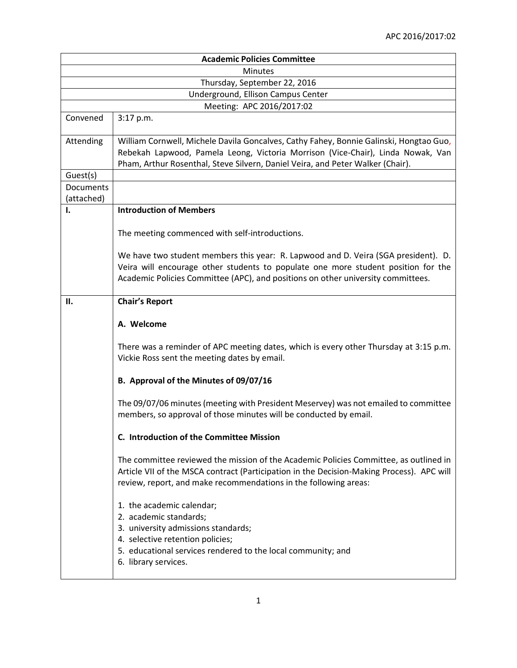| <b>Academic Policies Committee</b> |                                                                                                                                                                                                                                                             |  |
|------------------------------------|-------------------------------------------------------------------------------------------------------------------------------------------------------------------------------------------------------------------------------------------------------------|--|
| <b>Minutes</b>                     |                                                                                                                                                                                                                                                             |  |
| Thursday, September 22, 2016       |                                                                                                                                                                                                                                                             |  |
| Underground, Ellison Campus Center |                                                                                                                                                                                                                                                             |  |
| Meeting: APC 2016/2017:02          |                                                                                                                                                                                                                                                             |  |
| Convened                           | 3:17 p.m.                                                                                                                                                                                                                                                   |  |
| Attending                          | William Cornwell, Michele Davila Goncalves, Cathy Fahey, Bonnie Galinski, Hongtao Guo,<br>Rebekah Lapwood, Pamela Leong, Victoria Morrison (Vice-Chair), Linda Nowak, Van<br>Pham, Arthur Rosenthal, Steve Silvern, Daniel Veira, and Peter Walker (Chair). |  |
| Guest(s)                           |                                                                                                                                                                                                                                                             |  |
| Documents                          |                                                                                                                                                                                                                                                             |  |
| (attached)                         |                                                                                                                                                                                                                                                             |  |
| 1.                                 | <b>Introduction of Members</b>                                                                                                                                                                                                                              |  |
|                                    | The meeting commenced with self-introductions.                                                                                                                                                                                                              |  |
|                                    | We have two student members this year: R. Lapwood and D. Veira (SGA president). D.<br>Veira will encourage other students to populate one more student position for the<br>Academic Policies Committee (APC), and positions on other university committees. |  |
| II.                                | <b>Chair's Report</b>                                                                                                                                                                                                                                       |  |
|                                    | A. Welcome                                                                                                                                                                                                                                                  |  |
|                                    | There was a reminder of APC meeting dates, which is every other Thursday at 3:15 p.m.<br>Vickie Ross sent the meeting dates by email.                                                                                                                       |  |
|                                    | B. Approval of the Minutes of 09/07/16                                                                                                                                                                                                                      |  |
|                                    | The 09/07/06 minutes (meeting with President Meservey) was not emailed to committee<br>members, so approval of those minutes will be conducted by email.                                                                                                    |  |
|                                    | C. Introduction of the Committee Mission                                                                                                                                                                                                                    |  |
|                                    | The committee reviewed the mission of the Academic Policies Committee, as outlined in<br>Article VII of the MSCA contract (Participation in the Decision-Making Process). APC will<br>review, report, and make recommendations in the following areas:      |  |
|                                    | 1. the academic calendar;<br>2. academic standards;<br>3. university admissions standards;<br>4. selective retention policies;<br>5. educational services rendered to the local community; and<br>6. library services.                                      |  |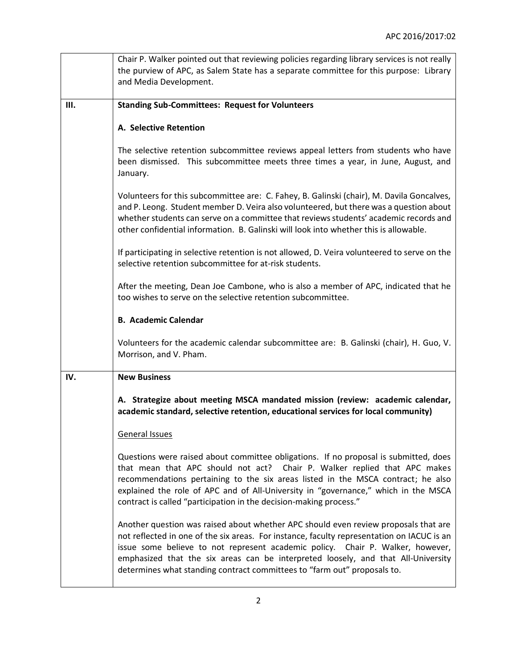|      | Chair P. Walker pointed out that reviewing policies regarding library services is not really                                                                                                                                                                                                                                                                                                                                         |
|------|--------------------------------------------------------------------------------------------------------------------------------------------------------------------------------------------------------------------------------------------------------------------------------------------------------------------------------------------------------------------------------------------------------------------------------------|
|      | the purview of APC, as Salem State has a separate committee for this purpose: Library                                                                                                                                                                                                                                                                                                                                                |
|      | and Media Development.                                                                                                                                                                                                                                                                                                                                                                                                               |
|      |                                                                                                                                                                                                                                                                                                                                                                                                                                      |
| III. | <b>Standing Sub-Committees: Request for Volunteers</b>                                                                                                                                                                                                                                                                                                                                                                               |
|      |                                                                                                                                                                                                                                                                                                                                                                                                                                      |
|      | A. Selective Retention                                                                                                                                                                                                                                                                                                                                                                                                               |
|      | The selective retention subcommittee reviews appeal letters from students who have<br>been dismissed. This subcommittee meets three times a year, in June, August, and<br>January.                                                                                                                                                                                                                                                   |
|      | Volunteers for this subcommittee are: C. Fahey, B. Galinski (chair), M. Davila Goncalves,<br>and P. Leong. Student member D. Veira also volunteered, but there was a question about<br>whether students can serve on a committee that reviews students' academic records and<br>other confidential information. B. Galinski will look into whether this is allowable.                                                                |
|      | If participating in selective retention is not allowed, D. Veira volunteered to serve on the<br>selective retention subcommittee for at-risk students.                                                                                                                                                                                                                                                                               |
|      | After the meeting, Dean Joe Cambone, who is also a member of APC, indicated that he<br>too wishes to serve on the selective retention subcommittee.                                                                                                                                                                                                                                                                                  |
|      | <b>B. Academic Calendar</b>                                                                                                                                                                                                                                                                                                                                                                                                          |
|      | Volunteers for the academic calendar subcommittee are: B. Galinski (chair), H. Guo, V.<br>Morrison, and V. Pham.                                                                                                                                                                                                                                                                                                                     |
| IV.  | <b>New Business</b>                                                                                                                                                                                                                                                                                                                                                                                                                  |
|      | A. Strategize about meeting MSCA mandated mission (review: academic calendar,<br>academic standard, selective retention, educational services for local community)                                                                                                                                                                                                                                                                   |
|      | General Issues                                                                                                                                                                                                                                                                                                                                                                                                                       |
|      | Questions were raised about committee obligations. If no proposal is submitted, does<br>that mean that APC should not act? Chair P. Walker replied that APC makes<br>recommendations pertaining to the six areas listed in the MSCA contract; he also<br>explained the role of APC and of All-University in "governance," which in the MSCA<br>contract is called "participation in the decision-making process."                    |
|      | Another question was raised about whether APC should even review proposals that are<br>not reflected in one of the six areas. For instance, faculty representation on IACUC is an<br>issue some believe to not represent academic policy. Chair P. Walker, however,<br>emphasized that the six areas can be interpreted loosely, and that All-University<br>determines what standing contract committees to "farm out" proposals to. |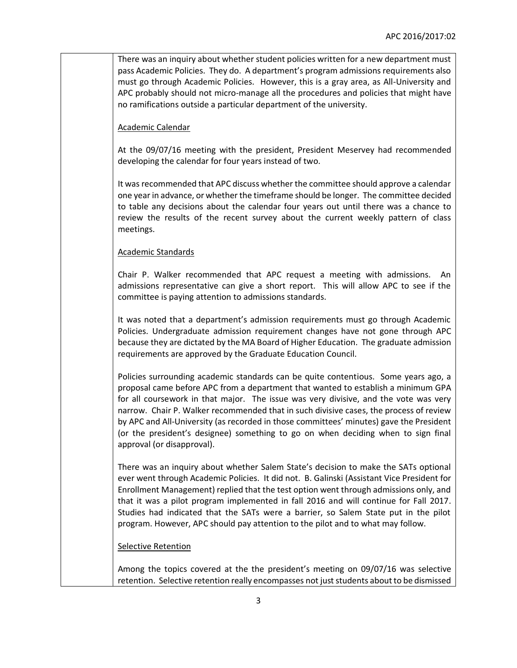There was an inquiry about whether student policies written for a new department must pass Academic Policies. They do. A department's program admissions requirements also must go through Academic Policies. However, this is a gray area, as All-University and APC probably should not micro-manage all the procedures and policies that might have no ramifications outside a particular department of the university.

Academic Calendar

At the 09/07/16 meeting with the president, President Meservey had recommended developing the calendar for four years instead of two.

It was recommended that APC discuss whether the committee should approve a calendar one year in advance, or whether the timeframe should be longer. The committee decided to table any decisions about the calendar four years out until there was a chance to review the results of the recent survey about the current weekly pattern of class meetings.

## Academic Standards

Chair P. Walker recommended that APC request a meeting with admissions. An admissions representative can give a short report. This will allow APC to see if the committee is paying attention to admissions standards.

It was noted that a department's admission requirements must go through Academic Policies. Undergraduate admission requirement changes have not gone through APC because they are dictated by the MA Board of Higher Education. The graduate admission requirements are approved by the Graduate Education Council.

Policies surrounding academic standards can be quite contentious. Some years ago, a proposal came before APC from a department that wanted to establish a minimum GPA for all coursework in that major. The issue was very divisive, and the vote was very narrow. Chair P. Walker recommended that in such divisive cases, the process of review by APC and All-University (as recorded in those committees' minutes) gave the President (or the president's designee) something to go on when deciding when to sign final approval (or disapproval).

There was an inquiry about whether Salem State's decision to make the SATs optional ever went through Academic Policies. It did not. B. Galinski (Assistant Vice President for Enrollment Management) replied that the test option went through admissions only, and that it was a pilot program implemented in fall 2016 and will continue for Fall 2017. Studies had indicated that the SATs were a barrier, so Salem State put in the pilot program. However, APC should pay attention to the pilot and to what may follow.

## Selective Retention

Among the topics covered at the the president's meeting on 09/07/16 was selective retention. Selective retention really encompasses not just students about to be dismissed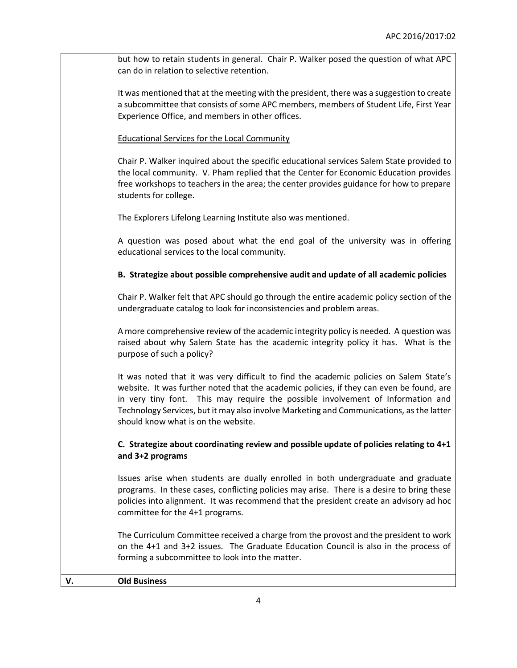|    | but how to retain students in general. Chair P. Walker posed the question of what APC                                                                                                                                                                                                                                                                                                                    |
|----|----------------------------------------------------------------------------------------------------------------------------------------------------------------------------------------------------------------------------------------------------------------------------------------------------------------------------------------------------------------------------------------------------------|
|    | can do in relation to selective retention.                                                                                                                                                                                                                                                                                                                                                               |
|    | It was mentioned that at the meeting with the president, there was a suggestion to create<br>a subcommittee that consists of some APC members, members of Student Life, First Year<br>Experience Office, and members in other offices.                                                                                                                                                                   |
|    | <b>Educational Services for the Local Community</b>                                                                                                                                                                                                                                                                                                                                                      |
|    | Chair P. Walker inquired about the specific educational services Salem State provided to<br>the local community. V. Pham replied that the Center for Economic Education provides<br>free workshops to teachers in the area; the center provides guidance for how to prepare<br>students for college.                                                                                                     |
|    | The Explorers Lifelong Learning Institute also was mentioned.                                                                                                                                                                                                                                                                                                                                            |
|    | A question was posed about what the end goal of the university was in offering<br>educational services to the local community.                                                                                                                                                                                                                                                                           |
|    | B. Strategize about possible comprehensive audit and update of all academic policies                                                                                                                                                                                                                                                                                                                     |
|    | Chair P. Walker felt that APC should go through the entire academic policy section of the<br>undergraduate catalog to look for inconsistencies and problem areas.                                                                                                                                                                                                                                        |
|    | A more comprehensive review of the academic integrity policy is needed. A question was<br>raised about why Salem State has the academic integrity policy it has. What is the<br>purpose of such a policy?                                                                                                                                                                                                |
|    | It was noted that it was very difficult to find the academic policies on Salem State's<br>website. It was further noted that the academic policies, if they can even be found, are<br>in very tiny font. This may require the possible involvement of Information and<br>Technology Services, but it may also involve Marketing and Communications, as the latter<br>should know what is on the website. |
|    | C. Strategize about coordinating review and possible update of policies relating to 4+1<br>and 3+2 programs                                                                                                                                                                                                                                                                                              |
|    | Issues arise when students are dually enrolled in both undergraduate and graduate<br>programs. In these cases, conflicting policies may arise. There is a desire to bring these<br>policies into alignment. It was recommend that the president create an advisory ad hoc<br>committee for the 4+1 programs.                                                                                             |
|    | The Curriculum Committee received a charge from the provost and the president to work<br>on the 4+1 and 3+2 issues. The Graduate Education Council is also in the process of<br>forming a subcommittee to look into the matter.                                                                                                                                                                          |
| V. | <b>Old Business</b>                                                                                                                                                                                                                                                                                                                                                                                      |